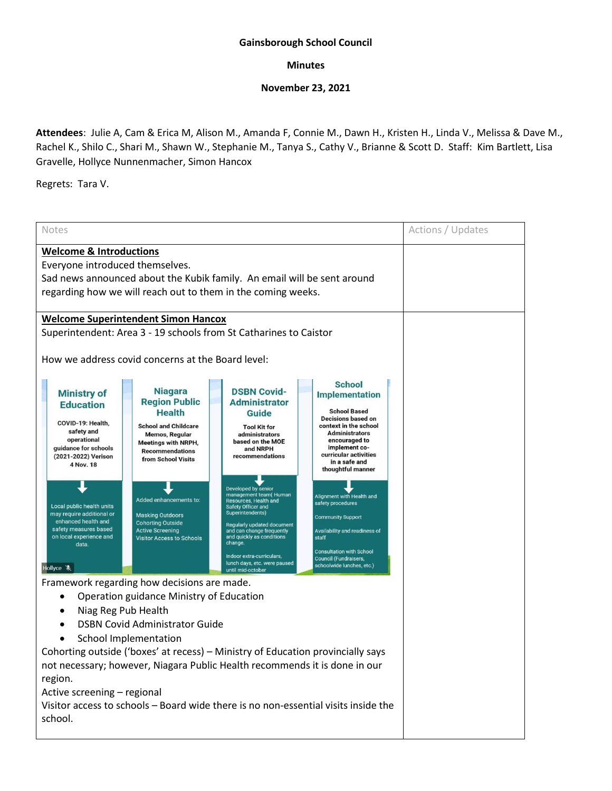## **Gainsborough School Council**

## **Minutes**

## **November 23, 2021**

**Attendees**: Julie A, Cam & Erica M, Alison M., Amanda F, Connie M., Dawn H., Kristen H., Linda V., Melissa & Dave M., Rachel K., Shilo C., Shari M., Shawn W., Stephanie M., Tanya S., Cathy V., Brianne & Scott D. Staff: Kim Bartlett, Lisa Gravelle, Hollyce Nunnenmacher, Simon Hancox

Regrets: Tara V.

| <b>Notes</b>                                                                                                                                                                                                                                                                                                                                                                                                                                                                                                                                                                                                                                                                                                                                                                                                                          | Actions / Updates |
|---------------------------------------------------------------------------------------------------------------------------------------------------------------------------------------------------------------------------------------------------------------------------------------------------------------------------------------------------------------------------------------------------------------------------------------------------------------------------------------------------------------------------------------------------------------------------------------------------------------------------------------------------------------------------------------------------------------------------------------------------------------------------------------------------------------------------------------|-------------------|
| <b>Welcome &amp; Introductions</b><br>Everyone introduced themselves.<br>Sad news announced about the Kubik family. An email will be sent around<br>regarding how we will reach out to them in the coming weeks.                                                                                                                                                                                                                                                                                                                                                                                                                                                                                                                                                                                                                      |                   |
| <b>Welcome Superintendent Simon Hancox</b><br>Superintendent: Area 3 - 19 schools from St Catharines to Caistor                                                                                                                                                                                                                                                                                                                                                                                                                                                                                                                                                                                                                                                                                                                       |                   |
| How we address covid concerns at the Board level:<br><b>School</b><br><b>Niagara</b><br><b>DSBN Covid-</b><br><b>Ministry of</b><br><b>Implementation</b><br><b>Region Public</b><br><b>Administrator</b><br><b>Education</b><br><b>School Based</b><br><b>Health</b><br>Guide<br><b>Decisions based on</b><br>COVID-19: Health,<br><b>School and Childcare</b><br>context in the school<br><b>Tool Kit for</b><br>safety and<br><b>Administrators</b><br>administrators<br><b>Memos, Regular</b><br>operational<br>encouraged to<br>based on the MOE<br><b>Meetings with NRPH,</b><br>implement co-<br>guidance for schools<br>and NRPH<br><b>Recommendations</b><br>curricular activities<br>recommendations<br>(2021-2022) Verison<br>from School Visits<br>in a safe and<br>4 Nov. 18<br>thoughtful manner<br>Developed by senior |                   |
| management team(Human<br>Alignment with Health and<br>Added enhancements to:<br><b>Resources, Health and</b><br>safety procedures<br>Local public health units<br>Safety Officer and<br>Superintendents)<br>may require additional or<br><b>Masking Outdoors</b><br><b>Community Support</b><br>enhanced health and<br><b>Cohorting Outside</b><br>Regularly updated document<br>safety measures based<br><b>Active Screening</b><br>Availability and readiness of<br>and can change frequently<br>on local experience and<br>and quickly as conditions<br><b>Visitor Access to Schools</b><br>staff<br>change.<br>data.<br><b>Consultation with School</b><br>Indoor extra-curriculars,<br><b>Council (Fundraisers,</b><br>lunch days, etc. were paused<br>schoolwide lunches, etc.)<br>Hollyce &<br>until mid-october               |                   |
| Framework regarding how decisions are made.<br>Operation guidance Ministry of Education<br>Niag Reg Pub Health<br><b>DSBN Covid Administrator Guide</b><br><b>School Implementation</b><br>Cohorting outside ('boxes' at recess) - Ministry of Education provincially says<br>not necessary; however, Niagara Public Health recommends it is done in our<br>region.<br>Active screening - regional<br>Visitor access to schools – Board wide there is no non-essential visits inside the<br>school.                                                                                                                                                                                                                                                                                                                                   |                   |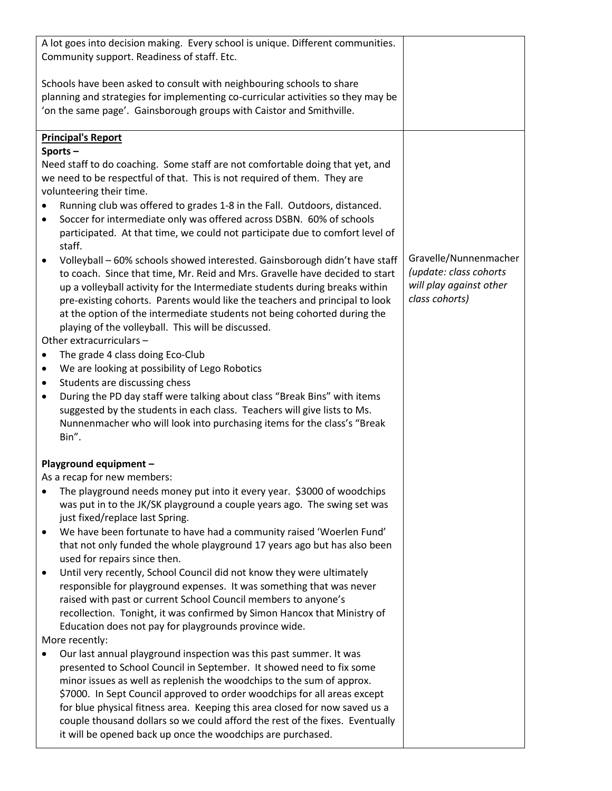| A lot goes into decision making. Every school is unique. Different communities.<br>Community support. Readiness of staff. Etc.                                                                                                                                                                                                                                                                                                                            |                                                                                              |
|-----------------------------------------------------------------------------------------------------------------------------------------------------------------------------------------------------------------------------------------------------------------------------------------------------------------------------------------------------------------------------------------------------------------------------------------------------------|----------------------------------------------------------------------------------------------|
| Schools have been asked to consult with neighbouring schools to share<br>planning and strategies for implementing co-curricular activities so they may be<br>'on the same page'. Gainsborough groups with Caistor and Smithville.                                                                                                                                                                                                                         |                                                                                              |
| <b>Principal's Report</b>                                                                                                                                                                                                                                                                                                                                                                                                                                 |                                                                                              |
| Sports-                                                                                                                                                                                                                                                                                                                                                                                                                                                   |                                                                                              |
| Need staff to do coaching. Some staff are not comfortable doing that yet, and<br>we need to be respectful of that. This is not required of them. They are                                                                                                                                                                                                                                                                                                 |                                                                                              |
| volunteering their time.                                                                                                                                                                                                                                                                                                                                                                                                                                  |                                                                                              |
| Running club was offered to grades 1-8 in the Fall. Outdoors, distanced.<br>Soccer for intermediate only was offered across DSBN. 60% of schools<br>$\bullet$<br>participated. At that time, we could not participate due to comfort level of<br>staff.                                                                                                                                                                                                   |                                                                                              |
| Volleyball - 60% schools showed interested. Gainsborough didn't have staff<br>to coach. Since that time, Mr. Reid and Mrs. Gravelle have decided to start<br>up a volleyball activity for the Intermediate students during breaks within<br>pre-existing cohorts. Parents would like the teachers and principal to look<br>at the option of the intermediate students not being cohorted during the<br>playing of the volleyball. This will be discussed. | Gravelle/Nunnenmacher<br>(update: class cohorts<br>will play against other<br>class cohorts) |
| Other extracurriculars -                                                                                                                                                                                                                                                                                                                                                                                                                                  |                                                                                              |
| The grade 4 class doing Eco-Club<br>$\bullet$                                                                                                                                                                                                                                                                                                                                                                                                             |                                                                                              |
| We are looking at possibility of Lego Robotics<br>$\bullet$                                                                                                                                                                                                                                                                                                                                                                                               |                                                                                              |
| Students are discussing chess<br>$\bullet$<br>During the PD day staff were talking about class "Break Bins" with items<br>$\bullet$<br>suggested by the students in each class. Teachers will give lists to Ms.<br>Nunnenmacher who will look into purchasing items for the class's "Break<br>Bin".                                                                                                                                                       |                                                                                              |
|                                                                                                                                                                                                                                                                                                                                                                                                                                                           |                                                                                              |
| Playground equipment -                                                                                                                                                                                                                                                                                                                                                                                                                                    |                                                                                              |
| As a recap for new members:                                                                                                                                                                                                                                                                                                                                                                                                                               |                                                                                              |
| The playground needs money put into it every year. \$3000 of woodchips<br>was put in to the JK/SK playground a couple years ago. The swing set was<br>just fixed/replace last Spring.                                                                                                                                                                                                                                                                     |                                                                                              |
| We have been fortunate to have had a community raised 'Woerlen Fund'<br>that not only funded the whole playground 17 years ago but has also been<br>used for repairs since then.                                                                                                                                                                                                                                                                          |                                                                                              |
| Until very recently, School Council did not know they were ultimately<br>٠<br>responsible for playground expenses. It was something that was never<br>raised with past or current School Council members to anyone's<br>recollection. Tonight, it was confirmed by Simon Hancox that Ministry of                                                                                                                                                          |                                                                                              |
| Education does not pay for playgrounds province wide.                                                                                                                                                                                                                                                                                                                                                                                                     |                                                                                              |
| More recently:                                                                                                                                                                                                                                                                                                                                                                                                                                            |                                                                                              |
| Our last annual playground inspection was this past summer. It was<br>presented to School Council in September. It showed need to fix some<br>minor issues as well as replenish the woodchips to the sum of approx.<br>\$7000. In Sept Council approved to order woodchips for all areas except<br>for blue physical fitness area. Keeping this area closed for now saved us a                                                                            |                                                                                              |
| couple thousand dollars so we could afford the rest of the fixes. Eventually<br>it will be opened back up once the woodchips are purchased.                                                                                                                                                                                                                                                                                                               |                                                                                              |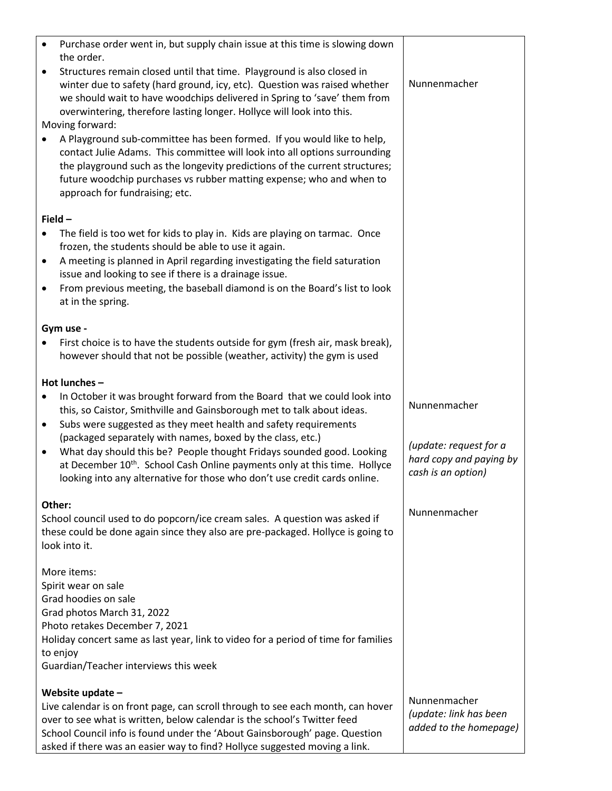| $\bullet$              | Purchase order went in, but supply chain issue at this time is slowing down<br>the order.<br>Structures remain closed until that time. Playground is also closed in<br>winter due to safety (hard ground, icy, etc). Question was raised whether<br>we should wait to have woodchips delivered in Spring to 'save' them from<br>overwintering, therefore lasting longer. Hollyce will look into this.<br>Moving forward:<br>A Playground sub-committee has been formed. If you would like to help,<br>contact Julie Adams. This committee will look into all options surrounding<br>the playground such as the longevity predictions of the current structures; | Nunnenmacher                                                                            |  |  |
|------------------------|-----------------------------------------------------------------------------------------------------------------------------------------------------------------------------------------------------------------------------------------------------------------------------------------------------------------------------------------------------------------------------------------------------------------------------------------------------------------------------------------------------------------------------------------------------------------------------------------------------------------------------------------------------------------|-----------------------------------------------------------------------------------------|--|--|
|                        | future woodchip purchases vs rubber matting expense; who and when to<br>approach for fundraising; etc.                                                                                                                                                                                                                                                                                                                                                                                                                                                                                                                                                          |                                                                                         |  |  |
| Field $-$              |                                                                                                                                                                                                                                                                                                                                                                                                                                                                                                                                                                                                                                                                 |                                                                                         |  |  |
| $\bullet$              | The field is too wet for kids to play in. Kids are playing on tarmac. Once<br>frozen, the students should be able to use it again.<br>A meeting is planned in April regarding investigating the field saturation<br>issue and looking to see if there is a drainage issue.<br>From previous meeting, the baseball diamond is on the Board's list to look<br>at in the spring.                                                                                                                                                                                                                                                                                   |                                                                                         |  |  |
|                        | Gym use -                                                                                                                                                                                                                                                                                                                                                                                                                                                                                                                                                                                                                                                       |                                                                                         |  |  |
|                        | First choice is to have the students outside for gym (fresh air, mask break),<br>however should that not be possible (weather, activity) the gym is used                                                                                                                                                                                                                                                                                                                                                                                                                                                                                                        |                                                                                         |  |  |
|                        | Hot lunches-                                                                                                                                                                                                                                                                                                                                                                                                                                                                                                                                                                                                                                                    |                                                                                         |  |  |
| $\bullet$<br>$\bullet$ | In October it was brought forward from the Board that we could look into<br>this, so Caistor, Smithville and Gainsborough met to talk about ideas.<br>Subs were suggested as they meet health and safety requirements<br>(packaged separately with names, boxed by the class, etc.)<br>What day should this be? People thought Fridays sounded good. Looking<br>at December 10 <sup>th</sup> . School Cash Online payments only at this time. Hollyce<br>looking into any alternative for those who don't use credit cards online.                                                                                                                              | Nunnenmacher<br>(update: request for a<br>hard copy and paying by<br>cash is an option) |  |  |
| Other:                 |                                                                                                                                                                                                                                                                                                                                                                                                                                                                                                                                                                                                                                                                 |                                                                                         |  |  |
|                        | School council used to do popcorn/ice cream sales. A question was asked if<br>these could be done again since they also are pre-packaged. Hollyce is going to<br>look into it.                                                                                                                                                                                                                                                                                                                                                                                                                                                                                  | Nunnenmacher                                                                            |  |  |
|                        | More items:<br>Spirit wear on sale<br>Grad hoodies on sale<br>Grad photos March 31, 2022<br>Photo retakes December 7, 2021<br>Holiday concert same as last year, link to video for a period of time for families<br>to enjoy<br>Guardian/Teacher interviews this week                                                                                                                                                                                                                                                                                                                                                                                           |                                                                                         |  |  |
|                        |                                                                                                                                                                                                                                                                                                                                                                                                                                                                                                                                                                                                                                                                 |                                                                                         |  |  |
|                        | Website update -<br>Live calendar is on front page, can scroll through to see each month, can hover<br>over to see what is written, below calendar is the school's Twitter feed<br>School Council info is found under the 'About Gainsborough' page. Question<br>asked if there was an easier way to find? Hollyce suggested moving a link.                                                                                                                                                                                                                                                                                                                     | Nunnenmacher<br>(update: link has been<br>added to the homepage)                        |  |  |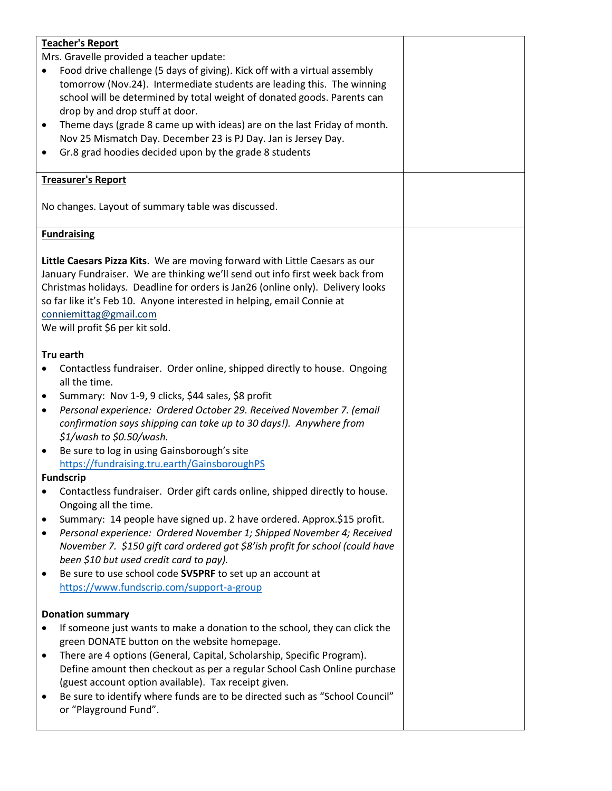| <b>Teacher's Report</b>                                                                  |  |
|------------------------------------------------------------------------------------------|--|
|                                                                                          |  |
| Mrs. Gravelle provided a teacher update:                                                 |  |
| Food drive challenge (5 days of giving). Kick off with a virtual assembly                |  |
| tomorrow (Nov.24). Intermediate students are leading this. The winning                   |  |
| school will be determined by total weight of donated goods. Parents can                  |  |
| drop by and drop stuff at door.                                                          |  |
| Theme days (grade 8 came up with ideas) are on the last Friday of month.                 |  |
| $\bullet$                                                                                |  |
| Nov 25 Mismatch Day. December 23 is PJ Day. Jan is Jersey Day.                           |  |
| Gr.8 grad hoodies decided upon by the grade 8 students<br>٠                              |  |
|                                                                                          |  |
| <b>Treasurer's Report</b>                                                                |  |
|                                                                                          |  |
| No changes. Layout of summary table was discussed.                                       |  |
|                                                                                          |  |
|                                                                                          |  |
| <b>Fundraising</b>                                                                       |  |
|                                                                                          |  |
| Little Caesars Pizza Kits. We are moving forward with Little Caesars as our              |  |
| January Fundraiser. We are thinking we'll send out info first week back from             |  |
| Christmas holidays. Deadline for orders is Jan26 (online only). Delivery looks           |  |
| so far like it's Feb 10. Anyone interested in helping, email Connie at                   |  |
|                                                                                          |  |
| conniemittag@gmail.com                                                                   |  |
| We will profit \$6 per kit sold.                                                         |  |
|                                                                                          |  |
| Tru earth                                                                                |  |
| Contactless fundraiser. Order online, shipped directly to house. Ongoing                 |  |
| all the time.                                                                            |  |
|                                                                                          |  |
| Summary: Nov 1-9, 9 clicks, \$44 sales, \$8 profit<br>$\bullet$                          |  |
| Personal experience: Ordered October 29. Received November 7. (email<br>$\bullet$        |  |
| confirmation says shipping can take up to 30 days!). Anywhere from                       |  |
| \$1/wash to \$0.50/wash.                                                                 |  |
| Be sure to log in using Gainsborough's site<br>$\bullet$                                 |  |
|                                                                                          |  |
| https://fundraising.tru.earth/GainsboroughPS                                             |  |
| <b>Fundscrip</b>                                                                         |  |
| Contactless fundraiser. Order gift cards online, shipped directly to house.<br>$\bullet$ |  |
| Ongoing all the time.                                                                    |  |
| Summary: 14 people have signed up. 2 have ordered. Approx.\$15 profit.<br>٠              |  |
| Personal experience: Ordered November 1; Shipped November 4; Received                    |  |
| $\bullet$                                                                                |  |
| November 7. \$150 gift card ordered got \$8'ish profit for school (could have            |  |
| been \$10 but used credit card to pay).                                                  |  |
| Be sure to use school code SV5PRF to set up an account at<br>$\bullet$                   |  |
| https://www.fundscrip.com/support-a-group                                                |  |
|                                                                                          |  |
| <b>Donation summary</b>                                                                  |  |
|                                                                                          |  |
| If someone just wants to make a donation to the school, they can click the               |  |
| green DONATE button on the website homepage.                                             |  |
| There are 4 options (General, Capital, Scholarship, Specific Program).<br>٠              |  |
| Define amount then checkout as per a regular School Cash Online purchase                 |  |
| (guest account option available). Tax receipt given.                                     |  |
|                                                                                          |  |
| Be sure to identify where funds are to be directed such as "School Council"<br>$\bullet$ |  |
| or "Playground Fund".                                                                    |  |
|                                                                                          |  |